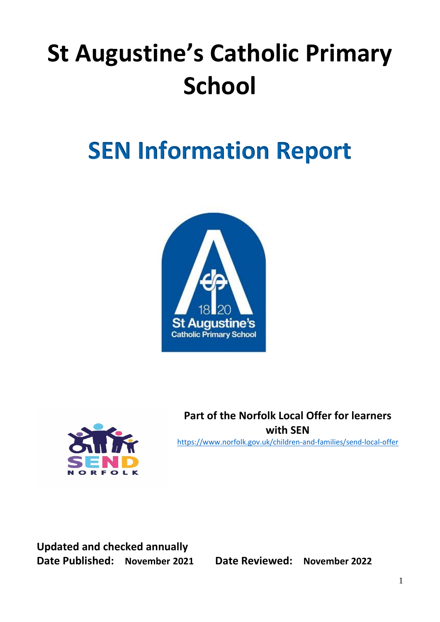# **St Augustine's Catholic Primary School**

# **SEN Information Report**





**Part of the Norfolk Local Offer for learners with SEN** <https://www.norfolk.gov.uk/children-and-families/send-local-offer>

**Updated and checked annually Date Published: November 2021 Date Reviewed: November 2022**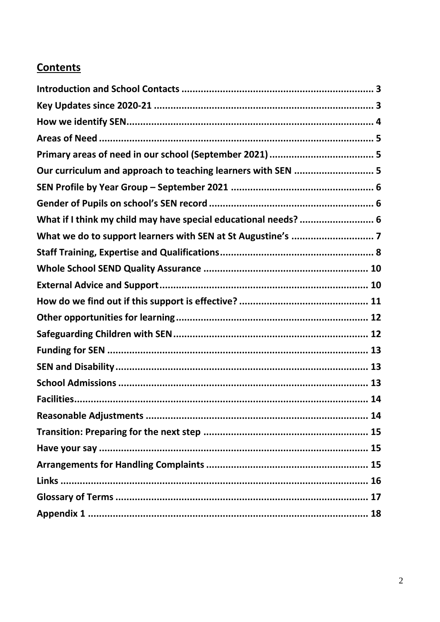#### **Contents**

| Our curriculum and approach to teaching learners with SEN  5    |
|-----------------------------------------------------------------|
|                                                                 |
|                                                                 |
| What if I think my child may have special educational needs?  6 |
|                                                                 |
|                                                                 |
|                                                                 |
|                                                                 |
|                                                                 |
|                                                                 |
|                                                                 |
|                                                                 |
|                                                                 |
|                                                                 |
|                                                                 |
|                                                                 |
|                                                                 |
|                                                                 |
|                                                                 |
|                                                                 |
|                                                                 |
|                                                                 |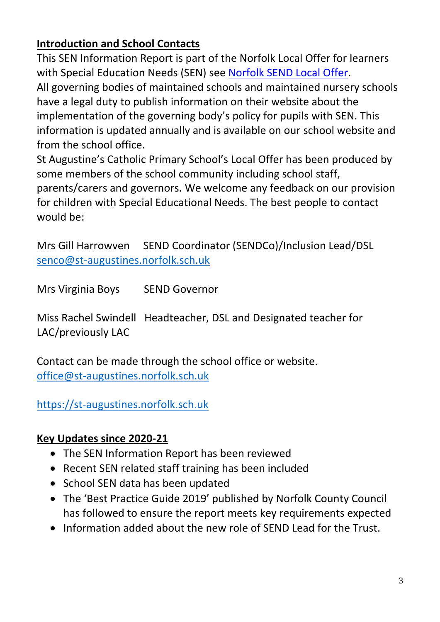# <span id="page-2-0"></span>**Introduction and School Contacts**

This SEN Information Report is part of the Norfolk Local Offer for learners with Special Education Needs (SEN) see [Norfolk SEND Local Offer.](https://www.norfolk.gov.uk/children-and-families/send-local-offer) All governing bodies of maintained schools and maintained nursery schools have a legal duty to publish information on their website about the implementation of the governing body's policy for pupils with SEN. This information is updated annually and is available on our school website and from the school office.

St Augustine's Catholic Primary School's Local Offer has been produced by some members of the school community including school staff, parents/carers and governors. We welcome any feedback on our provision for children with Special Educational Needs. The best people to contact would be:

Mrs Gill Harrowven SEND Coordinator (SENDCo)/Inclusion Lead/DSL [senco@st-augustines.norfolk.sch.uk](mailto:senco@st-augustines.norfolk.sch.uk)

Mrs Virginia Boys SEND Governor

Miss Rachel Swindell Headteacher, DSL and Designated teacher for LAC/previously LAC

Contact can be made through the school office or website. [office@st-augustines.norfolk.sch.uk](mailto:office@st-augustines.norfolk.sch.uk)

# [https://st-augustines.norfolk.sch.uk](https://st-augustines.norfolk.sch.uk/)

# <span id="page-2-1"></span>**Key Updates since 2020-21**

- The SEN Information Report has been reviewed
- Recent SEN related staff training has been included
- School SEN data has been updated
- The 'Best Practice Guide 2019' published by Norfolk County Council has followed to ensure the report meets key requirements expected
- Information added about the new role of SEND Lead for the Trust.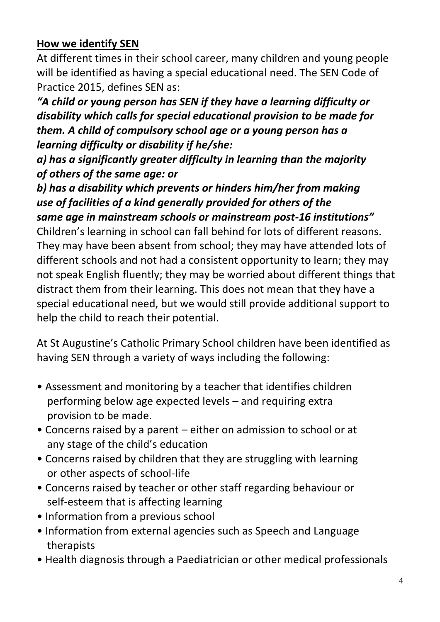# <span id="page-3-0"></span>**How we identify SEN**

At different times in their school career, many children and young people will be identified as having a special educational need. The SEN Code of Practice 2015, defines SEN as:

*"A child or young person has SEN if they have a learning difficulty or disability which calls for special educational provision to be made for them. A child of compulsory school age or a young person has a learning difficulty or disability if he/she:*

*a) has a significantly greater difficulty in learning than the majority of others of the same age: or*

*b) has a disability which prevents or hinders him/her from making use of facilities of a kind generally provided for others of the same age in mainstream schools or mainstream post-16 institutions"* Children's learning in school can fall behind for lots of different reasons. They may have been absent from school; they may have attended lots of different schools and not had a consistent opportunity to learn; they may not speak English fluently; they may be worried about different things that distract them from their learning. This does not mean that they have a special educational need, but we would still provide additional support to help the child to reach their potential.

At St Augustine's Catholic Primary School children have been identified as having SEN through a variety of ways including the following:

- Assessment and monitoring by a teacher that identifies children performing below age expected levels – and requiring extra provision to be made.
- Concerns raised by a parent either on admission to school or at any stage of the child's education
- Concerns raised by children that they are struggling with learning or other aspects of school-life
- Concerns raised by teacher or other staff regarding behaviour or self-esteem that is affecting learning
- Information from a previous school
- Information from external agencies such as Speech and Language therapists
- Health diagnosis through a Paediatrician or other medical professionals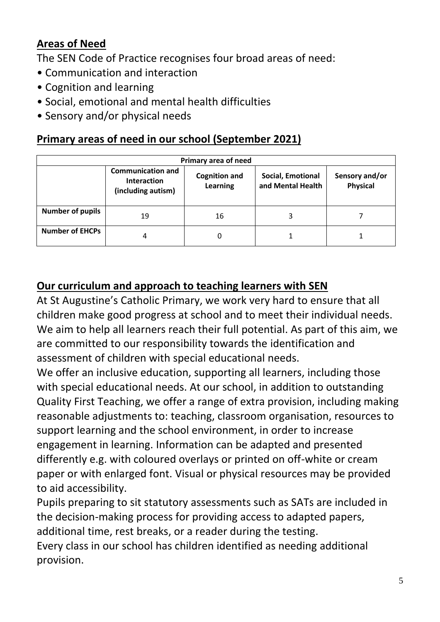#### <span id="page-4-0"></span>**Areas of Need**

The SEN Code of Practice recognises four broad areas of need:

- Communication and interaction
- Cognition and learning
- Social, emotional and mental health difficulties
- Sensory and/or physical needs

#### <span id="page-4-1"></span>**Primary areas of need in our school (September 2021)**

| Primary area of need    |                                                                      |                                         |                                        |                                   |  |
|-------------------------|----------------------------------------------------------------------|-----------------------------------------|----------------------------------------|-----------------------------------|--|
|                         | <b>Communication and</b><br><b>Interaction</b><br>(including autism) | <b>Cognition and</b><br><b>Learning</b> | Social, Emotional<br>and Mental Health | Sensory and/or<br><b>Physical</b> |  |
| <b>Number of pupils</b> | 19                                                                   | 16                                      |                                        |                                   |  |
| <b>Number of EHCPs</b>  | 4                                                                    | 0                                       |                                        |                                   |  |

# <span id="page-4-2"></span>**Our curriculum and approach to teaching learners with SEN**

At St Augustine's Catholic Primary, we work very hard to ensure that all children make good progress at school and to meet their individual needs. We aim to help all learners reach their full potential. As part of this aim, we are committed to our responsibility towards the identification and assessment of children with special educational needs.

We offer an inclusive education, supporting all learners, including those with special educational needs. At our school, in addition to outstanding Quality First Teaching, we offer a range of extra provision, including making reasonable adjustments to: teaching, classroom organisation, resources to support learning and the school environment, in order to increase engagement in learning. Information can be adapted and presented differently e.g. with coloured overlays or printed on off-white or cream paper or with enlarged font. Visual or physical resources may be provided to aid accessibility.

Pupils preparing to sit statutory assessments such as SATs are included in the decision-making process for providing access to adapted papers, additional time, rest breaks, or a reader during the testing.

Every class in our school has children identified as needing additional provision.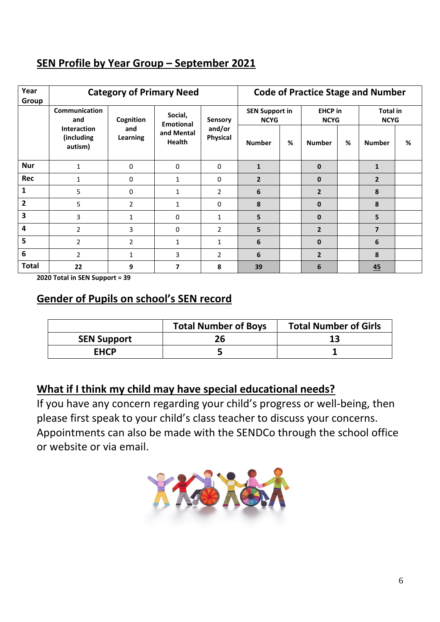#### <span id="page-5-0"></span>**SEN Profile by Year Group – September 2021**

| Year<br>Group  | <b>Category of Primary Need</b>             |                 |                             |                                             |                                      |   |                               | <b>Code of Practice Stage and Number</b> |                                |   |
|----------------|---------------------------------------------|-----------------|-----------------------------|---------------------------------------------|--------------------------------------|---|-------------------------------|------------------------------------------|--------------------------------|---|
|                | <b>Communication</b><br>and                 | Cognition       | Social,<br><b>Emotional</b> | <b>Sensory</b><br>and/or<br><b>Physical</b> | <b>SEN Support in</b><br><b>NCYG</b> |   | <b>EHCP</b> in<br><b>NCYG</b> |                                          | <b>Total in</b><br><b>NCYG</b> |   |
|                | <b>Interaction</b><br>(including<br>autism) | and<br>Learning | and Mental<br><b>Health</b> |                                             | <b>Number</b>                        | % | <b>Number</b>                 | %                                        | <b>Number</b>                  | % |
| <b>Nur</b>     | $\mathbf{1}$                                | $\mathbf{0}$    | $\mathbf{0}$                | $\Omega$                                    | $\mathbf{1}$                         |   | $\mathbf{0}$                  |                                          | $\mathbf{1}$                   |   |
| Rec            |                                             | 0               | 1                           | 0                                           | $\overline{2}$                       |   | $\mathbf 0$                   |                                          | $\overline{2}$                 |   |
| 1              | 5                                           | 0               | 1                           | 2                                           | 6                                    |   | $\overline{2}$                |                                          | 8                              |   |
| $\overline{2}$ | 5                                           | $\overline{2}$  | 1                           | 0                                           | 8                                    |   | $\mathbf{0}$                  |                                          | 8                              |   |
| 3              | 3                                           | 1               | 0                           | $\mathbf{1}$                                | 5                                    |   | $\bf{0}$                      |                                          | 5                              |   |
| 4              | $\overline{2}$                              | 3               | 0                           | $\overline{2}$                              | 5                                    |   | $\overline{2}$                |                                          | $\overline{7}$                 |   |
| 5              | $\overline{2}$                              | $\overline{2}$  | $\mathbf{1}$                | $\mathbf{1}$                                | 6                                    |   | $\mathbf{0}$                  |                                          | 6                              |   |
| 6              | $\overline{2}$                              | 1               | 3                           | $\overline{2}$                              | 6                                    |   | $\overline{2}$                |                                          | 8                              |   |
| Total          | 22                                          | 9               | $\overline{\mathbf{z}}$     | 8                                           | 39                                   |   | 6                             |                                          | 45                             |   |

<span id="page-5-1"></span>**2020 Total in SEN Support = 39**

#### **Gender of Pupils on school's SEN record**

|                    | <b>Total Number of Boys</b> | <b>Total Number of Girls</b> |
|--------------------|-----------------------------|------------------------------|
| <b>SEN Support</b> |                             |                              |
| <b>EHCP</b>        |                             |                              |

#### <span id="page-5-2"></span>**What if I think my child may have special educational needs?**

If you have any concern regarding your child's progress or well-being, then please first speak to your child's class teacher to discuss your concerns. Appointments can also be made with the SENDCo through the school office or website or via email.

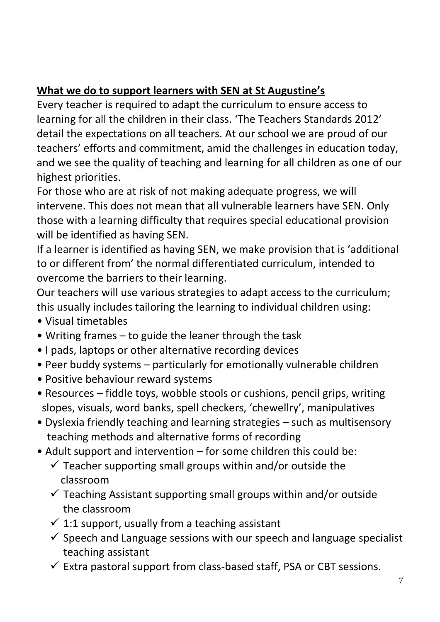# <span id="page-6-0"></span>**What we do to support learners with SEN at St Augustine's**

Every teacher is required to adapt the curriculum to ensure access to learning for all the children in their class. 'The Teachers Standards 2012' detail the expectations on all teachers. At our school we are proud of our teachers' efforts and commitment, amid the challenges in education today, and we see the quality of teaching and learning for all children as one of our highest priorities.

For those who are at risk of not making adequate progress, we will intervene. This does not mean that all vulnerable learners have SEN. Only those with a learning difficulty that requires special educational provision will be identified as having SEN.

If a learner is identified as having SEN, we make provision that is 'additional to or different from' the normal differentiated curriculum, intended to overcome the barriers to their learning.

Our teachers will use various strategies to adapt access to the curriculum; this usually includes tailoring the learning to individual children using:

- Visual timetables
- Writing frames to guide the leaner through the task
- I pads, laptops or other alternative recording devices
- Peer buddy systems particularly for emotionally vulnerable children
- Positive behaviour reward systems
- Resources fiddle toys, wobble stools or cushions, pencil grips, writing slopes, visuals, word banks, spell checkers, 'chewellry', manipulatives
- Dyslexia friendly teaching and learning strategies such as multisensory teaching methods and alternative forms of recording
- Adult support and intervention for some children this could be:
	- $\checkmark$  Teacher supporting small groups within and/or outside the classroom
	- $\checkmark$  Teaching Assistant supporting small groups within and/or outside the classroom
	- $\checkmark$  1:1 support, usually from a teaching assistant
	- $\checkmark$  Speech and Language sessions with our speech and language specialist teaching assistant
	- $\checkmark$  Extra pastoral support from class-based staff, PSA or CBT sessions.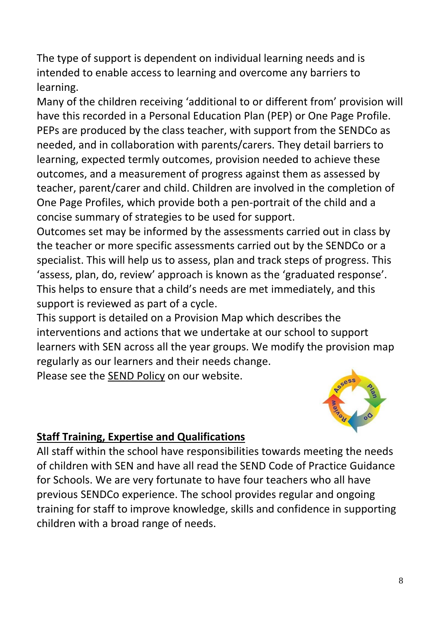The type of support is dependent on individual learning needs and is intended to enable access to learning and overcome any barriers to learning.

Many of the children receiving 'additional to or different from' provision will have this recorded in a Personal Education Plan (PEP) or One Page Profile. PEPs are produced by the class teacher, with support from the SENDCo as needed, and in collaboration with parents/carers. They detail barriers to learning, expected termly outcomes, provision needed to achieve these outcomes, and a measurement of progress against them as assessed by teacher, parent/carer and child. Children are involved in the completion of One Page Profiles, which provide both a pen-portrait of the child and a concise summary of strategies to be used for support.

Outcomes set may be informed by the assessments carried out in class by the teacher or more specific assessments carried out by the SENDCo or a specialist. This will help us to assess, plan and track steps of progress. This 'assess, plan, do, review' approach is known as the 'graduated response'. This helps to ensure that a child's needs are met immediately, and this support is reviewed as part of a cycle.

This support is detailed on a Provision Map which describes the interventions and actions that we undertake at our school to support learners with SEN across all the year groups. We modify the provision map regularly as our learners and their needs change.

Please see the **SEND Policy** on our website.



#### <span id="page-7-0"></span>**Staff Training, Expertise and Qualifications**

All staff within the school have responsibilities towards meeting the needs of children with SEN and have all read the SEND Code of Practice Guidance for Schools. We are very fortunate to have four teachers who all have previous SENDCo experience. The school provides regular and ongoing training for staff to improve knowledge, skills and confidence in supporting children with a broad range of needs.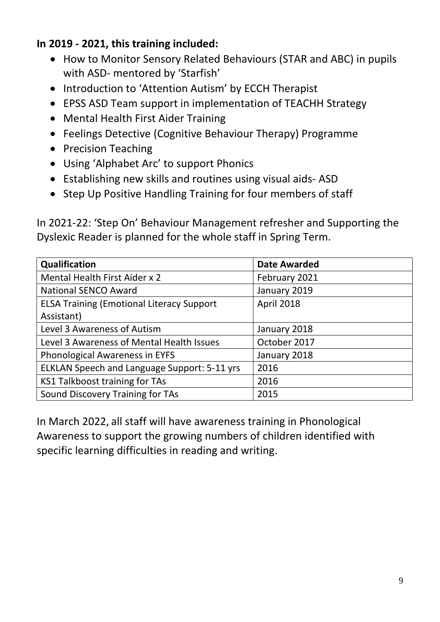#### **In 2019 - 2021, this training included:**

- How to Monitor Sensory Related Behaviours (STAR and ABC) in pupils with ASD- mentored by 'Starfish'
- Introduction to 'Attention Autism' by ECCH Therapist
- EPSS ASD Team support in implementation of TEACHH Strategy
- Mental Health First Aider Training
- Feelings Detective (Cognitive Behaviour Therapy) Programme
- Precision Teaching
- Using 'Alphabet Arc' to support Phonics
- Establishing new skills and routines using visual aids- ASD
- Step Up Positive Handling Training for four members of staff

In 2021-22: 'Step On' Behaviour Management refresher and Supporting the Dyslexic Reader is planned for the whole staff in Spring Term.

| Qualification                                    | <b>Date Awarded</b> |
|--------------------------------------------------|---------------------|
| Mental Health First Aider x 2                    | February 2021       |
| <b>National SENCO Award</b>                      | January 2019        |
| <b>ELSA Training (Emotional Literacy Support</b> | April 2018          |
| Assistant)                                       |                     |
| Level 3 Awareness of Autism                      | January 2018        |
| Level 3 Awareness of Mental Health Issues        | October 2017        |
| Phonological Awareness in EYFS                   | January 2018        |
| ELKLAN Speech and Language Support: 5-11 yrs     | 2016                |
| <b>KS1 Talkboost training for TAs</b>            | 2016                |
| Sound Discovery Training for TAs                 | 2015                |

In March 2022, all staff will have awareness training in Phonological Awareness to support the growing numbers of children identified with specific learning difficulties in reading and writing.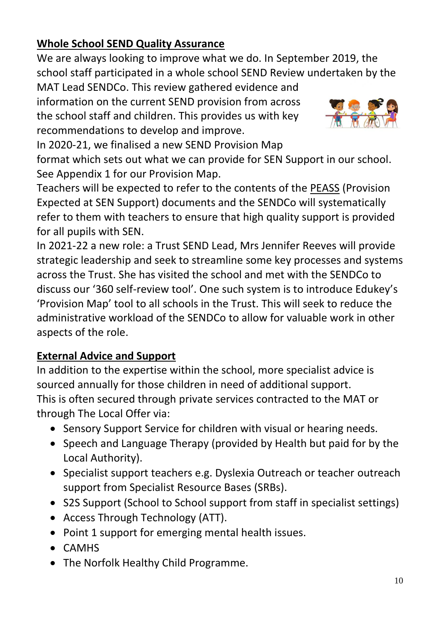# <span id="page-9-0"></span>**Whole School SEND Quality Assurance**

We are always looking to improve what we do. In September 2019, the school staff participated in a whole school SEND Review undertaken by the

MAT Lead SENDCo. This review gathered evidence and information on the current SEND provision from across the school staff and children. This provides us with key recommendations to develop and improve.



In 2020-21, we finalised a new SEND Provision Map format which sets out what we can provide for SEN Support in our school. See Appendix 1 for our Provision Map.

Teachers will be expected to refer to the contents of the PEASS (Provision Expected at SEN Support) documents and the SENDCo will systematically refer to them with teachers to ensure that high quality support is provided for all pupils with SEN.

In 2021-22 a new role: a Trust SEND Lead, Mrs Jennifer Reeves will provide strategic leadership and seek to streamline some key processes and systems across the Trust. She has visited the school and met with the SENDCo to discuss our '360 self-review tool'. One such system is to introduce Edukey's 'Provision Map' tool to all schools in the Trust. This will seek to reduce the administrative workload of the SENDCo to allow for valuable work in other aspects of the role.

# <span id="page-9-1"></span>**External Advice and Support**

In addition to the expertise within the school, more specialist advice is sourced annually for those children in need of additional support. This is often secured through private services contracted to the MAT or through The Local Offer via:

- Sensory Support Service for children with visual or hearing needs.
- Speech and Language Therapy (provided by Health but paid for by the Local Authority).
- Specialist support teachers e.g. Dyslexia Outreach or teacher outreach support from Specialist Resource Bases (SRBs).
- S2S Support (School to School support from staff in specialist settings)
- Access Through Technology (ATT).
- Point 1 support for emerging mental health issues.
- CAMHS
- The Norfolk Healthy Child Programme.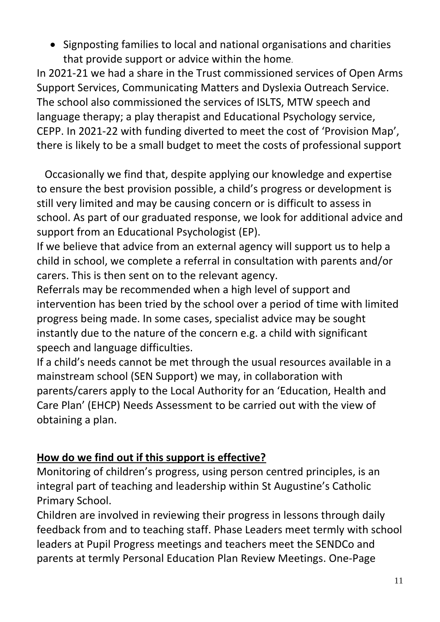• Signposting families to local and national organisations and charities that provide support or advice within the home.

In 2021-21 we had a share in the Trust commissioned services of Open Arms Support Services, Communicating Matters and Dyslexia Outreach Service. The school also commissioned the services of ISLTS, MTW speech and language therapy; a play therapist and Educational Psychology service, CEPP. In 2021-22 with funding diverted to meet the cost of 'Provision Map', there is likely to be a small budget to meet the costs of professional support

 Occasionally we find that, despite applying our knowledge and expertise to ensure the best provision possible, a child's progress or development is still very limited and may be causing concern or is difficult to assess in school. As part of our graduated response, we look for additional advice and support from an Educational Psychologist (EP).

If we believe that advice from an external agency will support us to help a child in school, we complete a referral in consultation with parents and/or carers. This is then sent on to the relevant agency.

Referrals may be recommended when a high level of support and intervention has been tried by the school over a period of time with limited progress being made. In some cases, specialist advice may be sought instantly due to the nature of the concern e.g. a child with significant speech and language difficulties.

If a child's needs cannot be met through the usual resources available in a mainstream school (SEN Support) we may, in collaboration with parents/carers apply to the Local Authority for an 'Education, Health and Care Plan' (EHCP) Needs Assessment to be carried out with the view of obtaining a plan.

#### <span id="page-10-0"></span>**How do we find out if this support is effective?**

Monitoring of children's progress, using person centred principles, is an integral part of teaching and leadership within St Augustine's Catholic Primary School.

Children are involved in reviewing their progress in lessons through daily feedback from and to teaching staff. Phase Leaders meet termly with school leaders at Pupil Progress meetings and teachers meet the SENDCo and parents at termly Personal Education Plan Review Meetings. One-Page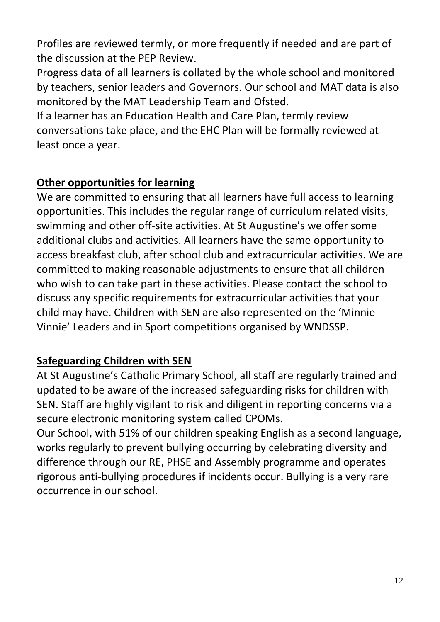Profiles are reviewed termly, or more frequently if needed and are part of the discussion at the PEP Review.

Progress data of all learners is collated by the whole school and monitored by teachers, senior leaders and Governors. Our school and MAT data is also monitored by the MAT Leadership Team and Ofsted.

If a learner has an Education Health and Care Plan, termly review conversations take place, and the EHC Plan will be formally reviewed at least once a year.

#### <span id="page-11-0"></span>**Other opportunities for learning**

We are committed to ensuring that all learners have full access to learning opportunities. This includes the regular range of curriculum related visits, swimming and other off-site activities. At St Augustine's we offer some additional clubs and activities. All learners have the same opportunity to access breakfast club, after school club and extracurricular activities. We are committed to making reasonable adjustments to ensure that all children who wish to can take part in these activities. Please contact the school to discuss any specific requirements for extracurricular activities that your child may have. Children with SEN are also represented on the 'Minnie Vinnie' Leaders and in Sport competitions organised by WNDSSP.

#### <span id="page-11-1"></span>**Safeguarding Children with SEN**

At St Augustine's Catholic Primary School, all staff are regularly trained and updated to be aware of the increased safeguarding risks for children with SEN. Staff are highly vigilant to risk and diligent in reporting concerns via a secure electronic monitoring system called CPOMs.

Our School, with 51% of our children speaking English as a second language, works regularly to prevent bullying occurring by celebrating diversity and difference through our RE, PHSE and Assembly programme and operates rigorous anti-bullying procedures if incidents occur. Bullying is a very rare occurrence in our school.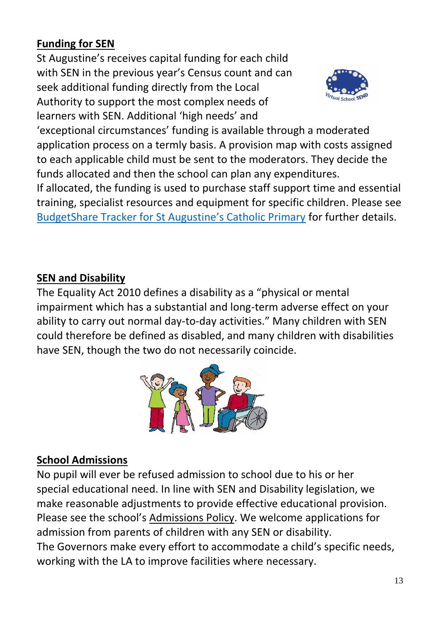# <span id="page-12-0"></span>**Funding for SEN**

St Augustine's receives capital funding for each child with SEN in the previous year's Census count and can seek additional funding directly from the Local Authority to support the most complex needs of learners with SEN. Additional 'high needs' and



'exceptional circumstances' funding is available through a moderated application process on a termly basis. A provision map with costs assigned to each applicable child must be sent to the moderators. They decide the funds allocated and then the school can plan any expenditures.

If allocated, the funding is used to purchase staff support time and essential training, specialist resources and equipment for specific children. Please see [BudgetShare Tracker for St Augustine's Catholic Primary](https://csapps.norfolk.gov.uk/BudgetShare/ReportsMenu.aspx) for further details.

#### <span id="page-12-1"></span>**SEN and Disability**

The Equality Act 2010 defines a disability as a "physical or mental impairment which has a substantial and long-term adverse effect on your ability to carry out normal day-to-day activities." Many children with SEN could therefore be defined as disabled, and many children with disabilities have SEN, though the two do not necessarily coincide.



# <span id="page-12-2"></span>**School Admissions**

No pupil will ever be refused admission to school due to his or her special educational need. In line with SEN and Disability legislation, we make reasonable adjustments to provide effective educational provision. Please see the school's Admissions Policy. We welcome applications for admission from parents of children with any SEN or disability. The Governors make every effort to accommodate a child's specific needs, working with the LA to improve facilities where necessary.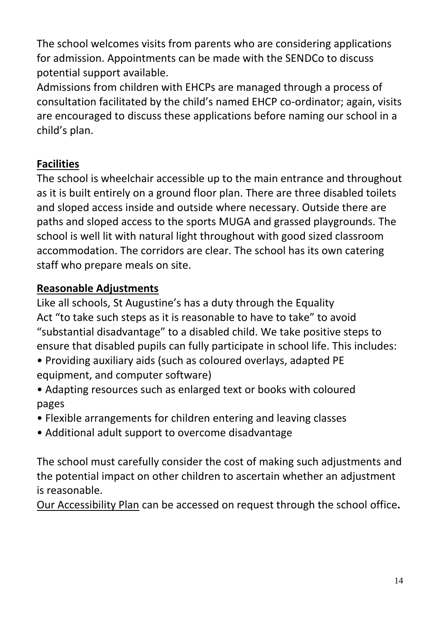The school welcomes visits from parents who are considering applications for admission. Appointments can be made with the SENDCo to discuss potential support available.

Admissions from children with EHCPs are managed through a process of consultation facilitated by the child's named EHCP co-ordinator; again, visits are encouraged to discuss these applications before naming our school in a child's plan.

# <span id="page-13-0"></span>**Facilities**

The school is wheelchair accessible up to the main entrance and throughout as it is built entirely on a ground floor plan. There are three disabled toilets and sloped access inside and outside where necessary. Outside there are paths and sloped access to the sports MUGA and grassed playgrounds. The school is well lit with natural light throughout with good sized classroom accommodation. The corridors are clear. The school has its own catering staff who prepare meals on site.

# <span id="page-13-1"></span>**Reasonable Adjustments**

Like all schools, St Augustine's has a duty through the Equality Act "to take such steps as it is reasonable to have to take" to avoid "substantial disadvantage" to a disabled child. We take positive steps to ensure that disabled pupils can fully participate in school life. This includes:

- Providing auxiliary aids (such as coloured overlays, adapted PE equipment, and computer software)
- Adapting resources such as enlarged text or books with coloured pages
- Flexible arrangements for children entering and leaving classes
- Additional adult support to overcome disadvantage

The school must carefully consider the cost of making such adjustments and the potential impact on other children to ascertain whether an adjustment is reasonable.

Our Accessibility Plan can be accessed on request through the school office**.**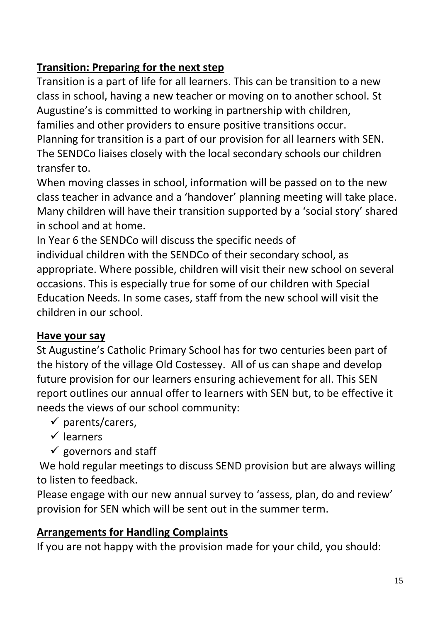# <span id="page-14-0"></span>**Transition: Preparing for the next step**

Transition is a part of life for all learners. This can be transition to a new class in school, having a new teacher or moving on to another school. St Augustine's is committed to working in partnership with children, families and other providers to ensure positive transitions occur. Planning for transition is a part of our provision for all learners with SEN. The SENDCo liaises closely with the local secondary schools our children transfer to.

When moving classes in school, information will be passed on to the new class teacher in advance and a 'handover' planning meeting will take place. Many children will have their transition supported by a 'social story' shared in school and at home.

In Year 6 the SENDCo will discuss the specific needs of individual children with the SENDCo of their secondary school, as appropriate. Where possible, children will visit their new school on several occasions. This is especially true for some of our children with Special Education Needs. In some cases, staff from the new school will visit the children in our school.

# <span id="page-14-1"></span>**Have your say**

St Augustine's Catholic Primary School has for two centuries been part of the history of the village Old Costessey. All of us can shape and develop future provision for our learners ensuring achievement for all. This SEN report outlines our annual offer to learners with SEN but, to be effective it needs the views of our school community:

- $\checkmark$  parents/carers.
- ✓ learners
- $\checkmark$  governors and staff

We hold regular meetings to discuss SEND provision but are always willing to listen to feedback.

Please engage with our new annual survey to 'assess, plan, do and review' provision for SEN which will be sent out in the summer term.

# <span id="page-14-2"></span>**Arrangements for Handling Complaints**

If you are not happy with the provision made for your child, you should: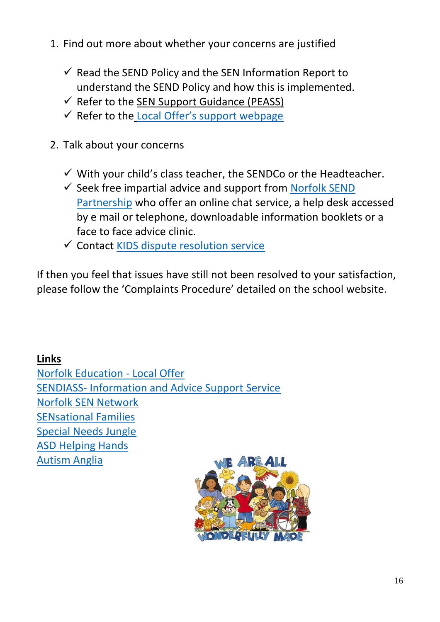- 1. Find out more about whether your concerns are justified
	- $\checkmark$  Read the SEND Policy and the SEN Information Report to understand the SEND Policy and how this is implemented.
	- $\checkmark$  Refer to the SEN Support Guidance (PEASS)
	- $\checkmark$  Refer to the [Local Offer's support webpage](https://www.norfolk.gov.uk/children-and-families/send-local-offer/support-for-learning)
- 2. Talk about your concerns
	- $\checkmark$  With your child's class teacher, the SENDCo or the Headteacher.
	- $\checkmark$  Seek free impartial advice and support from Norfolk SEND [Partnership](https://www.norfolksendpartnershipiass.org.uk/) who offer an online chat service, a help desk accessed by e mail or telephone, downloadable information booklets or a face to face advice clinic.
	- ✓ Contact [KIDS dispute resolution service](https://www.kids.org.uk/mediation-info)

<span id="page-15-0"></span>If then you feel that issues have still not been resolved to your satisfaction, please follow the 'Complaints Procedure' detailed on the school website.

#### **Links**

[Norfolk Education -](https://www.norfolk.gov.uk/children-and-families/send-local-offer) Local Offer SENDIASS- [Information and Advice Support Service](https://www.norfolksendpartnershipiass.org.uk/) [Norfolk SEN Network](https://www.norfolksennetwork.org/) [SENsational Families](https://www.sensationalfamilies.org.uk/) [Special Needs Jungle](https://www.specialneedsjungle.com/) [ASD Helping Hands](https://www.asdhelpinghands.org.uk/) [Autism Anglia](https://www.autism-anglia.org.uk/)

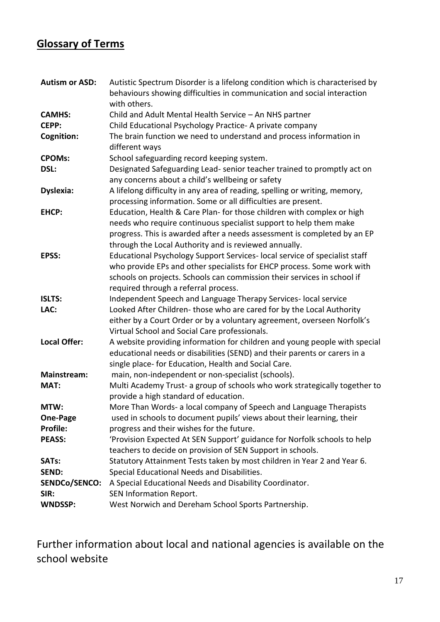#### <span id="page-16-0"></span>**Glossary of Terms**

| <b>Autism or ASD:</b> | Autistic Spectrum Disorder is a lifelong condition which is characterised by |
|-----------------------|------------------------------------------------------------------------------|
|                       | behaviours showing difficulties in communication and social interaction      |
|                       | with others.                                                                 |
| <b>CAMHS:</b>         | Child and Adult Mental Health Service - An NHS partner                       |
| CEPP:                 | Child Educational Psychology Practice-A private company                      |
| Cognition:            | The brain function we need to understand and process information in          |
|                       | different ways                                                               |
| <b>CPOMs:</b>         | School safeguarding record keeping system.                                   |
| DSL:                  | Designated Safeguarding Lead- senior teacher trained to promptly act on      |
|                       | any concerns about a child's wellbeing or safety                             |
| <b>Dyslexia:</b>      | A lifelong difficulty in any area of reading, spelling or writing, memory,   |
|                       | processing information. Some or all difficulties are present.                |
| <b>EHCP:</b>          | Education, Health & Care Plan- for those children with complex or high       |
|                       | needs who require continuous specialist support to help them make            |
|                       | progress. This is awarded after a needs assessment is completed by an EP     |
|                       | through the Local Authority and is reviewed annually.                        |
| EPSS:                 | Educational Psychology Support Services- local service of specialist staff   |
|                       | who provide EPs and other specialists for EHCP process. Some work with       |
|                       | schools on projects. Schools can commission their services in school if      |
|                       | required through a referral process.                                         |
| <b>ISLTS:</b>         | Independent Speech and Language Therapy Services- local service              |
| LAC:                  | Looked After Children-those who are cared for by the Local Authority         |
|                       | either by a Court Order or by a voluntary agreement, overseen Norfolk's      |
|                       | Virtual School and Social Care professionals.                                |
| <b>Local Offer:</b>   | A website providing information for children and young people with special   |
|                       | educational needs or disabilities (SEND) and their parents or carers in a    |
|                       | single place- for Education, Health and Social Care.                         |
| <b>Mainstream:</b>    | main, non-independent or non-specialist (schools).                           |
| MAT:                  | Multi Academy Trust- a group of schools who work strategically together to   |
|                       | provide a high standard of education.                                        |
| MTW:                  | More Than Words- a local company of Speech and Language Therapists           |
| One-Page              | used in schools to document pupils' views about their learning, their        |
| <b>Profile:</b>       | progress and their wishes for the future.                                    |
| <b>PEASS:</b>         | 'Provision Expected At SEN Support' guidance for Norfolk schools to help     |
|                       | teachers to decide on provision of SEN Support in schools.                   |
| <b>SATs:</b>          | Statutory Attainment Tests taken by most children in Year 2 and Year 6.      |
| <b>SEND:</b>          | Special Educational Needs and Disabilities.                                  |
| <b>SENDCo/SENCO:</b>  | A Special Educational Needs and Disability Coordinator.                      |
| SIR:                  | SEN Information Report.                                                      |
| <b>WNDSSP:</b>        | West Norwich and Dereham School Sports Partnership.                          |

Further information about local and national agencies is available on the school website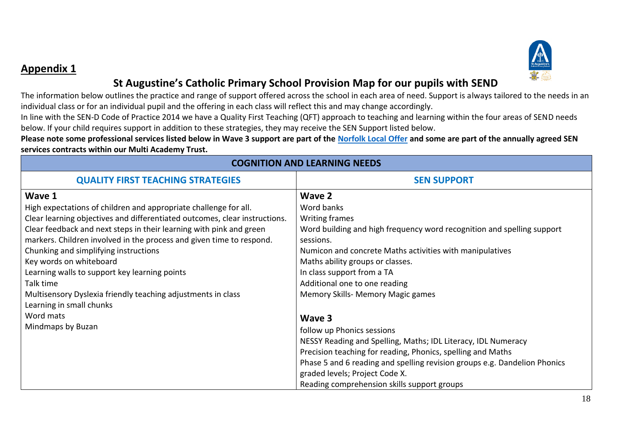

#### **Appendix 1**

#### **St Augustine's Catholic Primary School Provision Map for our pupils with SEND**

The information below outlines the practice and range of support offered across the school in each area of need. Support is always tailored to the needs in an individual class or for an individual pupil and the offering in each class will reflect this and may change accordingly.

In line with the SEN-D Code of Practice 2014 we have a Quality First Teaching (QFT) approach to teaching and learning within the four areas of SEND needs below. If your child requires support in addition to these strategies, they may receive the SEN Support listed below.

**Please note some professional services listed below in Wave 3 support are part of the [Norfolk Local Offer](https://www.norfolk.gov.uk/children-and-families/send-local-offer) and some are part of the annually agreed SEN services contracts within our Multi Academy Trust.** 

<span id="page-17-0"></span>

| <b>COGNITION AND LEARNING NEEDS</b>                                                                                                                                                                                                                                                                                                                                                                                                                                                                       |                                                                                                                                                                                                                                                                                                                                          |  |  |
|-----------------------------------------------------------------------------------------------------------------------------------------------------------------------------------------------------------------------------------------------------------------------------------------------------------------------------------------------------------------------------------------------------------------------------------------------------------------------------------------------------------|------------------------------------------------------------------------------------------------------------------------------------------------------------------------------------------------------------------------------------------------------------------------------------------------------------------------------------------|--|--|
| <b>QUALITY FIRST TEACHING STRATEGIES</b>                                                                                                                                                                                                                                                                                                                                                                                                                                                                  | <b>SEN SUPPORT</b>                                                                                                                                                                                                                                                                                                                       |  |  |
| Wave 1<br>High expectations of children and appropriate challenge for all.<br>Clear learning objectives and differentiated outcomes, clear instructions.<br>Clear feedback and next steps in their learning with pink and green<br>markers. Children involved in the process and given time to respond.<br>Chunking and simplifying instructions<br>Key words on whiteboard<br>Learning walls to support key learning points<br>Talk time<br>Multisensory Dyslexia friendly teaching adjustments in class | Wave 2<br>Word banks<br><b>Writing frames</b><br>Word building and high frequency word recognition and spelling support<br>sessions.<br>Numicon and concrete Maths activities with manipulatives<br>Maths ability groups or classes.<br>In class support from a TA<br>Additional one to one reading<br>Memory Skills- Memory Magic games |  |  |
| Learning in small chunks<br>Word mats<br>Mindmaps by Buzan                                                                                                                                                                                                                                                                                                                                                                                                                                                | Wave 3<br>follow up Phonics sessions<br>NESSY Reading and Spelling, Maths; IDL Literacy, IDL Numeracy<br>Precision teaching for reading, Phonics, spelling and Maths<br>Phase 5 and 6 reading and spelling revision groups e.g. Dandelion Phonics<br>graded levels; Project Code X.<br>Reading comprehension skills support groups       |  |  |

#### **COGNITION AND LEARNING NEEDS**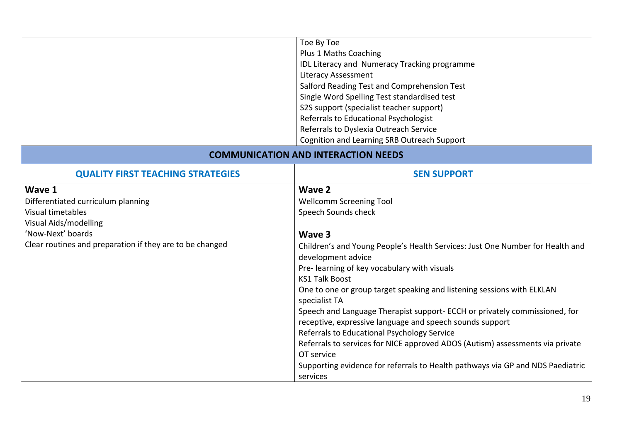|                                                                                                                                                                             | Toe By Toe<br>Plus 1 Maths Coaching<br>IDL Literacy and Numeracy Tracking programme<br><b>Literacy Assessment</b><br>Salford Reading Test and Comprehension Test<br>Single Word Spelling Test standardised test<br>S2S support (specialist teacher support)<br>Referrals to Educational Psychologist<br>Referrals to Dyslexia Outreach Service<br>Cognition and Learning SRB Outreach Support                                                                                                                                                                                                                                                                                                                                             |
|-----------------------------------------------------------------------------------------------------------------------------------------------------------------------------|-------------------------------------------------------------------------------------------------------------------------------------------------------------------------------------------------------------------------------------------------------------------------------------------------------------------------------------------------------------------------------------------------------------------------------------------------------------------------------------------------------------------------------------------------------------------------------------------------------------------------------------------------------------------------------------------------------------------------------------------|
|                                                                                                                                                                             | <b>COMMUNICATION AND INTERACTION NEEDS</b>                                                                                                                                                                                                                                                                                                                                                                                                                                                                                                                                                                                                                                                                                                |
| <b>QUALITY FIRST TEACHING STRATEGIES</b>                                                                                                                                    | <b>SEN SUPPORT</b>                                                                                                                                                                                                                                                                                                                                                                                                                                                                                                                                                                                                                                                                                                                        |
| Wave 1<br>Differentiated curriculum planning<br>Visual timetables<br>Visual Aids/modelling<br>'Now-Next' boards<br>Clear routines and preparation if they are to be changed | Wave 2<br><b>Wellcomm Screening Tool</b><br>Speech Sounds check<br>Wave 3<br>Children's and Young People's Health Services: Just One Number for Health and<br>development advice<br>Pre-learning of key vocabulary with visuals<br><b>KS1 Talk Boost</b><br>One to one or group target speaking and listening sessions with ELKLAN<br>specialist TA<br>Speech and Language Therapist support- ECCH or privately commissioned, for<br>receptive, expressive language and speech sounds support<br>Referrals to Educational Psychology Service<br>Referrals to services for NICE approved ADOS (Autism) assessments via private<br>OT service<br>Supporting evidence for referrals to Health pathways via GP and NDS Paediatric<br>services |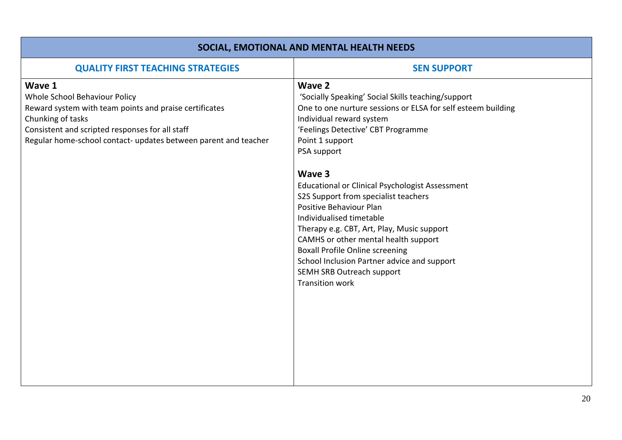| SOCIAL, EMOTIONAL AND MENTAL HEALTH NEEDS                                                                                                                                                                                                    |                                                                                                                                                                                                                                                                                                                                                                                                                                                                                                                                                                                                                                                  |  |
|----------------------------------------------------------------------------------------------------------------------------------------------------------------------------------------------------------------------------------------------|--------------------------------------------------------------------------------------------------------------------------------------------------------------------------------------------------------------------------------------------------------------------------------------------------------------------------------------------------------------------------------------------------------------------------------------------------------------------------------------------------------------------------------------------------------------------------------------------------------------------------------------------------|--|
| <b>QUALITY FIRST TEACHING STRATEGIES</b>                                                                                                                                                                                                     | <b>SEN SUPPORT</b>                                                                                                                                                                                                                                                                                                                                                                                                                                                                                                                                                                                                                               |  |
| Wave 1<br>Whole School Behaviour Policy<br>Reward system with team points and praise certificates<br>Chunking of tasks<br>Consistent and scripted responses for all staff<br>Regular home-school contact- updates between parent and teacher | <b>Wave 2</b><br>'Socially Speaking' Social Skills teaching/support<br>One to one nurture sessions or ELSA for self esteem building<br>Individual reward system<br>'Feelings Detective' CBT Programme<br>Point 1 support<br>PSA support<br>Wave 3<br><b>Educational or Clinical Psychologist Assessment</b><br>S2S Support from specialist teachers<br>Positive Behaviour Plan<br>Individualised timetable<br>Therapy e.g. CBT, Art, Play, Music support<br>CAMHS or other mental health support<br><b>Boxall Profile Online screening</b><br>School Inclusion Partner advice and support<br>SEMH SRB Outreach support<br><b>Transition work</b> |  |